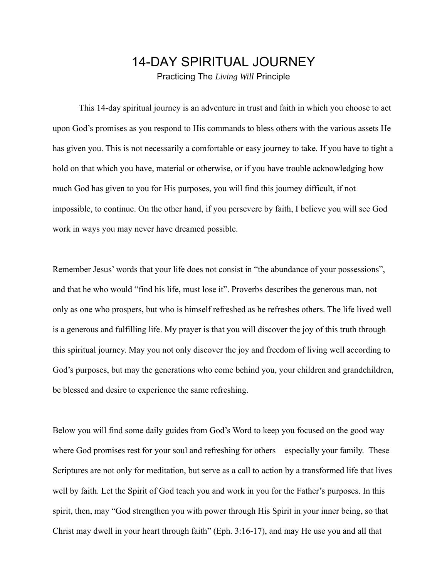# 14-DAY SPIRITUAL JOURNEY Practicing The *Living Will* Principle

This 14-day spiritual journey is an adventure in trust and faith in which you choose to act upon God's promises as you respond to His commands to bless others with the various assets He has given you. This is not necessarily a comfortable or easy journey to take. If you have to tight a hold on that which you have, material or otherwise, or if you have trouble acknowledging how much God has given to you for His purposes, you will find this journey difficult, if not impossible, to continue. On the other hand, if you persevere by faith, I believe you will see God work in ways you may never have dreamed possible.

Remember Jesus' words that your life does not consist in "the abundance of your possessions", and that he who would "find his life, must lose it". Proverbs describes the generous man, not only as one who prospers, but who is himself refreshed as he refreshes others. The life lived well is a generous and fulfilling life. My prayer is that you will discover the joy of this truth through this spiritual journey. May you not only discover the joy and freedom of living well according to God's purposes, but may the generations who come behind you, your children and grandchildren, be blessed and desire to experience the same refreshing.

Below you will find some daily guides from God's Word to keep you focused on the good way where God promises rest for your soul and refreshing for others—especially your family. These Scriptures are not only for meditation, but serve as a call to action by a transformed life that lives well by faith. Let the Spirit of God teach you and work in you for the Father's purposes. In this spirit, then, may "God strengthen you with power through His Spirit in your inner being, so that Christ may dwell in your heart through faith" (Eph. 3:16-17), and may He use you and all that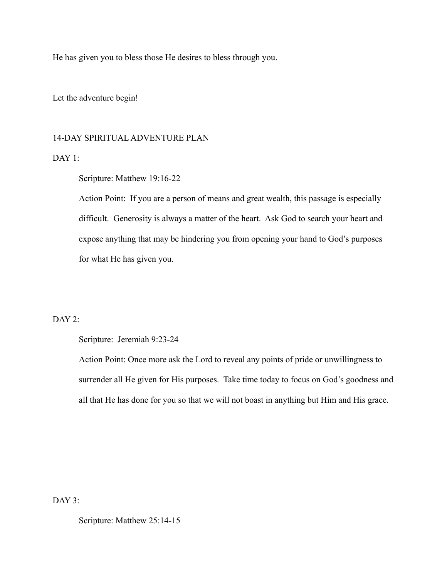He has given you to bless those He desires to bless through you.

Let the adventure begin!

#### 14-DAY SPIRITUAL ADVENTURE PLAN

 $DAY 1$ 

Scripture: Matthew 19:16-22

Action Point: If you are a person of means and great wealth, this passage is especially difficult. Generosity is always a matter of the heart. Ask God to search your heart and expose anything that may be hindering you from opening your hand to God's purposes for what He has given you.

# $DAY$  2:

Scripture: Jeremiah 9:23-24

Action Point: Once more ask the Lord to reveal any points of pride or unwillingness to surrender all He given for His purposes. Take time today to focus on God's goodness and all that He has done for you so that we will not boast in anything but Him and His grace.

DAY 3:

Scripture: Matthew 25:14-15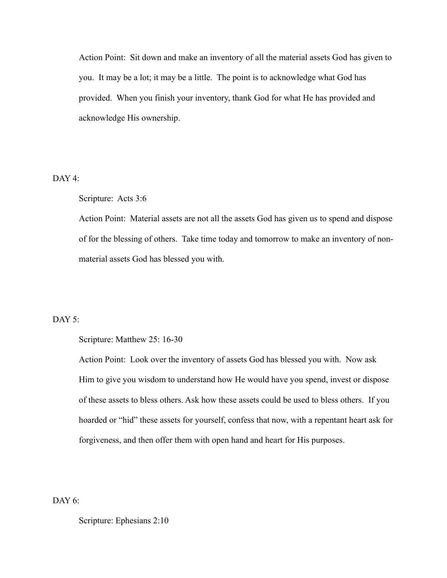Action Point: Sit down and make an inventory of all the material assets God has given to you. It may be a lot; it may be a little. The point is to acknowledge what God has provided. When you finish your inventory, thank God for what He has provided and acknowledge His ownership.

 $DAY$ 4.

#### Scripture: Acts 3:6

Action Point: Material assets are not all the assets God has given us to spend and dispose of for the blessing of others. Take time today and tomorrow to make an inventory of nonmaterial assets God has blessed you with.

#### $DAY 5:$

Scripture: Matthew 25: 16-30

Action Point: Look over the inventory of assets God has blessed you with. Now ask Him to give you wisdom to understand how He would have you spend, invest or dispose of these assets to bless others. Ask how these assets could be used to bless others. If you hoarded or "hid" these assets for yourself, confess that now, with a repentant heart ask for forgiveness, and then offer them with open hand and heart for His purposes.

 $DAY 6$ 

Scripture: Ephesians 2:10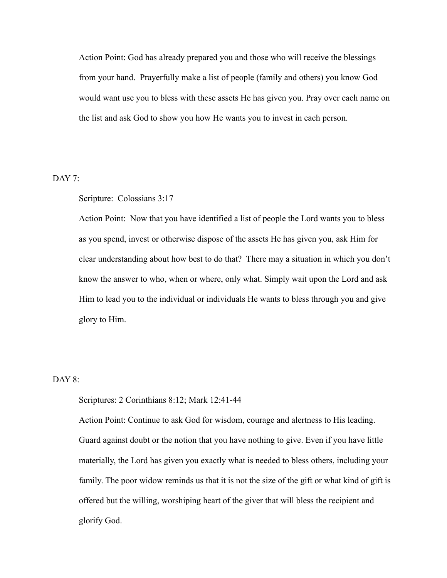Action Point: God has already prepared you and those who will receive the blessings from your hand. Prayerfully make a list of people (family and others) you know God would want use you to bless with these assets He has given you. Pray over each name on the list and ask God to show you how He wants you to invest in each person.

DAY 7:

#### Scripture: Colossians 3:17

Action Point: Now that you have identified a list of people the Lord wants you to bless as you spend, invest or otherwise dispose of the assets He has given you, ask Him for clear understanding about how best to do that? There may a situation in which you don't know the answer to who, when or where, only what. Simply wait upon the Lord and ask Him to lead you to the individual or individuals He wants to bless through you and give glory to Him.

#### $DAY 8$

Scriptures: 2 Corinthians 8:12; Mark 12:41-44

Action Point: Continue to ask God for wisdom, courage and alertness to His leading. Guard against doubt or the notion that you have nothing to give. Even if you have little materially, the Lord has given you exactly what is needed to bless others, including your family. The poor widow reminds us that it is not the size of the gift or what kind of gift is offered but the willing, worshiping heart of the giver that will bless the recipient and glorify God.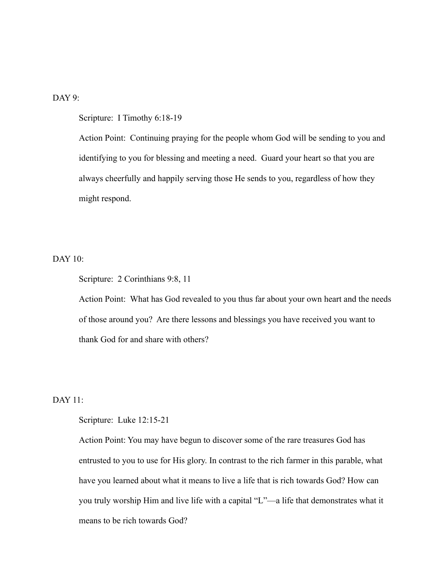## $DAY 9$

Scripture: I Timothy 6:18-19

Action Point: Continuing praying for the people whom God will be sending to you and identifying to you for blessing and meeting a need. Guard your heart so that you are always cheerfully and happily serving those He sends to you, regardless of how they might respond.

 $DAY 10$ 

Scripture: 2 Corinthians 9:8, 11

Action Point: What has God revealed to you thus far about your own heart and the needs of those around you? Are there lessons and blessings you have received you want to thank God for and share with others?

#### $DAY$  11 $\cdot$

Scripture: Luke 12:15-21

Action Point: You may have begun to discover some of the rare treasures God has entrusted to you to use for His glory. In contrast to the rich farmer in this parable, what have you learned about what it means to live a life that is rich towards God? How can you truly worship Him and live life with a capital "L"—a life that demonstrates what it means to be rich towards God?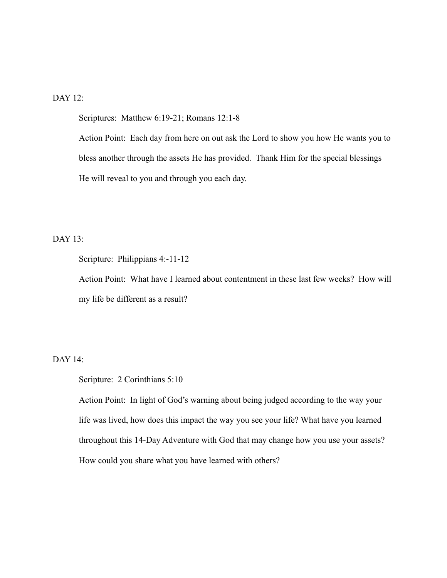# DAY  $12$ <sup>-</sup>

Scriptures: Matthew 6:19-21; Romans 12:1-8

Action Point: Each day from here on out ask the Lord to show you how He wants you to bless another through the assets He has provided. Thank Him for the special blessings He will reveal to you and through you each day.

# DAY  $13$

Scripture: Philippians 4:-11-12

Action Point: What have I learned about contentment in these last few weeks? How will my life be different as a result?

DAY 14:

Scripture: 2 Corinthians 5:10

Action Point: In light of God's warning about being judged according to the way your life was lived, how does this impact the way you see your life? What have you learned throughout this 14-Day Adventure with God that may change how you use your assets? How could you share what you have learned with others?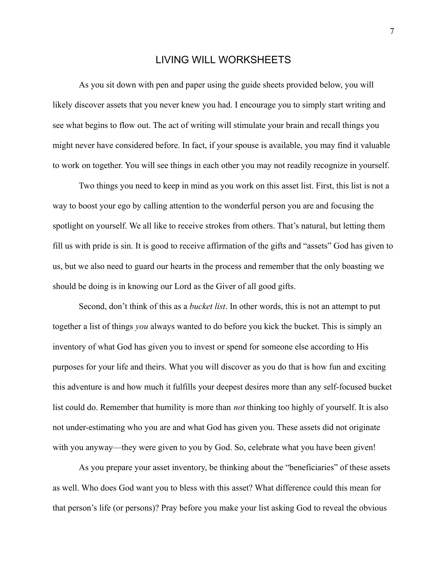#### LIVING WILL WORKSHEETS

As you sit down with pen and paper using the guide sheets provided below, you will likely discover assets that you never knew you had. I encourage you to simply start writing and see what begins to flow out. The act of writing will stimulate your brain and recall things you might never have considered before. In fact, if your spouse is available, you may find it valuable to work on together. You will see things in each other you may not readily recognize in yourself.

Two things you need to keep in mind as you work on this asset list. First, this list is not a way to boost your ego by calling attention to the wonderful person you are and focusing the spotlight on yourself. We all like to receive strokes from others. That's natural, but letting them fill us with pride is sin. It is good to receive affirmation of the gifts and "assets" God has given to us, but we also need to guard our hearts in the process and remember that the only boasting we should be doing is in knowing our Lord as the Giver of all good gifts.

Second, don't think of this as a *bucket list*. In other words, this is not an attempt to put together a list of things *you* always wanted to do before you kick the bucket. This is simply an inventory of what God has given you to invest or spend for someone else according to His purposes for your life and theirs. What you will discover as you do that is how fun and exciting this adventure is and how much it fulfills your deepest desires more than any self-focused bucket list could do. Remember that humility is more than *not* thinking too highly of yourself. It is also not under-estimating who you are and what God has given you. These assets did not originate with you anyway—they were given to you by God. So, celebrate what you have been given!

As you prepare your asset inventory, be thinking about the "beneficiaries" of these assets as well. Who does God want you to bless with this asset? What difference could this mean for that person's life (or persons)? Pray before you make your list asking God to reveal the obvious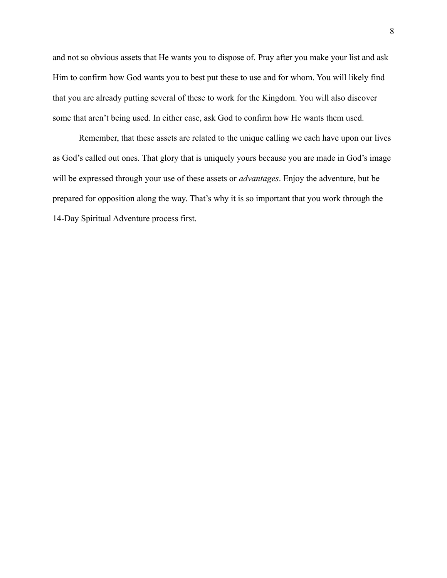and not so obvious assets that He wants you to dispose of. Pray after you make your list and ask Him to confirm how God wants you to best put these to use and for whom. You will likely find that you are already putting several of these to work for the Kingdom. You will also discover some that aren't being used. In either case, ask God to confirm how He wants them used.

Remember, that these assets are related to the unique calling we each have upon our lives as God's called out ones. That glory that is uniquely yours because you are made in God's image will be expressed through your use of these assets or *advantages*. Enjoy the adventure, but be prepared for opposition along the way. That's why it is so important that you work through the 14-Day Spiritual Adventure process first.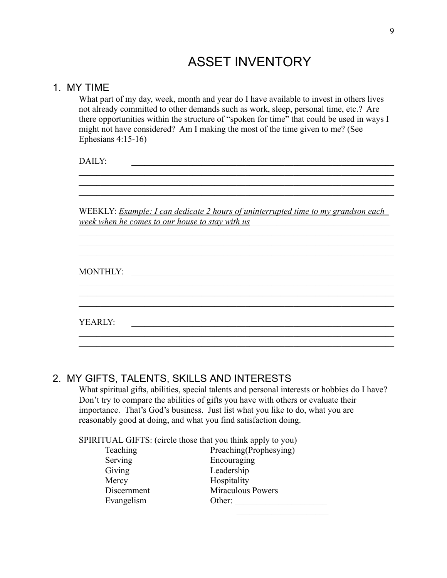# ASSET INVENTORY

 $\mathcal{L}_\mathcal{L} = \{ \mathcal{L}_\mathcal{L} = \{ \mathcal{L}_\mathcal{L} = \{ \mathcal{L}_\mathcal{L} = \{ \mathcal{L}_\mathcal{L} = \{ \mathcal{L}_\mathcal{L} = \{ \mathcal{L}_\mathcal{L} = \{ \mathcal{L}_\mathcal{L} = \{ \mathcal{L}_\mathcal{L} = \{ \mathcal{L}_\mathcal{L} = \{ \mathcal{L}_\mathcal{L} = \{ \mathcal{L}_\mathcal{L} = \{ \mathcal{L}_\mathcal{L} = \{ \mathcal{L}_\mathcal{L} = \{ \mathcal{L}_\mathcal{$ 

 $\mathcal{L}_\text{max}$  , and the set of the set of the set of the set of the set of the set of the set of the set of the set of the set of the set of the set of the set of the set of the set of the set of the set of the set of the

\_\_\_\_\_\_\_\_\_\_\_\_\_\_\_\_\_\_\_\_\_\_\_\_\_\_\_\_\_\_\_\_\_\_\_\_\_\_\_\_\_\_\_\_\_\_\_\_\_\_\_\_\_\_\_\_\_\_\_\_\_\_\_\_\_\_\_\_\_\_\_\_

\_\_\_\_\_\_\_\_\_\_\_\_\_\_\_\_\_\_\_\_\_\_\_\_\_\_\_\_\_\_\_\_\_\_\_\_\_\_\_\_\_\_\_\_\_\_\_\_\_\_\_\_\_\_\_\_\_\_\_\_\_\_\_\_\_\_\_\_\_\_\_\_

#### 1. MY TIME

What part of my day, week, month and year do I have available to invest in others lives not already committed to other demands such as work, sleep, personal time, etc.? Are there opportunities within the structure of "spoken for time" that could be used in ways I might not have considered? Am I making the most of the time given to me? (See Ephesians 4:15-16)

DAILY:

WEEKLY: *Example: I can dedicate 2 hours of uninterrupted time to my grandson each week when he comes to our house to stay with us* 

 $\mathcal{L}_\text{max}$  , and the contribution of the contribution of the contribution of the contribution of the contribution of the contribution of the contribution of the contribution of the contribution of the contribution of t  $\mathcal{L}_\text{max}$  , and the contribution of the contribution of the contribution of the contribution of the contribution of the contribution of the contribution of the contribution of the contribution of the contribution of t  $\mathcal{L}_\text{max}$  , and the contribution of the contribution of the contribution of the contribution of the contribution of the contribution of the contribution of the contribution of the contribution of the contribution of t

 $\mathcal{L}_\text{max}$  , and the contribution of the contribution of the contribution of the contribution of the contribution of the contribution of the contribution of the contribution of the contribution of the contribution of t

 $\mathcal{L}_\text{max}$  , and the contribution of the contribution of the contribution of the contribution of the contribution of the contribution of the contribution of the contribution of the contribution of the contribution of t  $\mathcal{L}_\text{max}$  , and the contribution of the contribution of the contribution of the contribution of the contribution of the contribution of the contribution of the contribution of the contribution of the contribution of t

MONTHLY: \_\_\_\_\_\_\_\_\_\_\_\_\_\_\_\_\_\_\_\_\_\_\_\_\_\_\_\_\_\_\_\_\_\_\_\_\_\_\_\_\_\_\_\_\_\_\_\_\_\_\_\_\_\_\_\_\_\_\_\_

YEARLY: \_\_\_\_\_\_\_\_\_\_\_\_\_\_\_\_\_\_\_\_\_\_\_\_\_\_\_\_\_\_\_\_\_\_\_\_\_\_\_\_\_\_\_\_\_\_\_\_\_\_\_\_\_\_\_\_\_\_\_\_

# 2. MY GIFTS, TALENTS, SKILLS AND INTERESTS

What spiritual gifts, abilities, special talents and personal interests or hobbies do I have? Don't try to compare the abilities of gifts you have with others or evaluate their importance. That's God's business. Just list what you like to do, what you are reasonably good at doing, and what you find satisfaction doing.

SPIRITUAL GIFTS: (circle those that you think apply to you)

| Teaching    | Preaching(Prophesying)   |
|-------------|--------------------------|
| Serving     | Encouraging              |
| Giving      | Leadership               |
| Mercy       | Hospitality              |
| Discernment | <b>Miraculous Powers</b> |
| Evangelism  | Other:                   |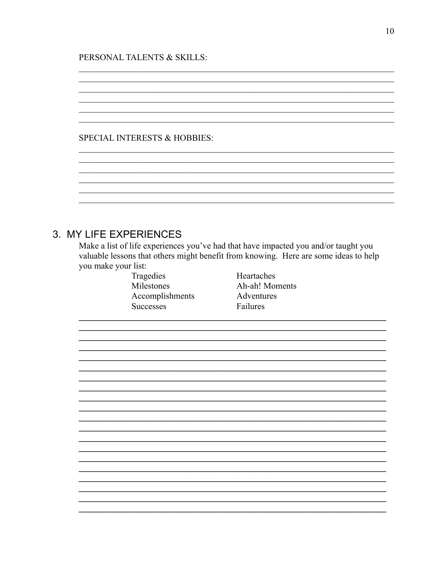#### PERSONAL TALENTS & SKILLS:

#### **SPECIAL INTERESTS & HOBBIES:**

# 3. MY LIFE EXPERIENCES

Make a list of life experiences you've had that have impacted you and/or taught you valuable lessons that others might benefit from knowing. Here are some ideas to help you make your list:

Tragedies Milestones Accomplishments **Successes** 

Heartaches Ah-ah! Moments Adventures Failures

<u> 1989 - Johann Stoff, amerikansk politiker (\* 1908)</u>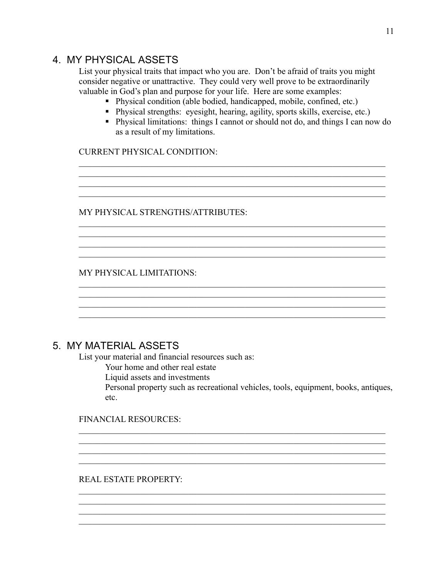# 4. MY PHYSICAL ASSETS

List your physical traits that impact who you are. Don't be afraid of traits you might consider negative or unattractive. They could very well prove to be extraordinarily valuable in God's plan and purpose for your life. Here are some examples:

Physical condition (able bodied, handicapped, mobile, confined, etc.)

 $\mathcal{L}_\text{max} = \mathcal{L}_\text{max} = \mathcal{L}_\text{max} = \mathcal{L}_\text{max} = \mathcal{L}_\text{max} = \mathcal{L}_\text{max} = \mathcal{L}_\text{max} = \mathcal{L}_\text{max} = \mathcal{L}_\text{max} = \mathcal{L}_\text{max} = \mathcal{L}_\text{max} = \mathcal{L}_\text{max} = \mathcal{L}_\text{max} = \mathcal{L}_\text{max} = \mathcal{L}_\text{max} = \mathcal{L}_\text{max} = \mathcal{L}_\text{max} = \mathcal{L}_\text{max} = \mathcal{$  $\mathcal{L}_\text{max}$  and  $\mathcal{L}_\text{max}$  and  $\mathcal{L}_\text{max}$  and  $\mathcal{L}_\text{max}$  and  $\mathcal{L}_\text{max}$  and  $\mathcal{L}_\text{max}$ 

 $\mathcal{L}_\text{max}$  and  $\mathcal{L}_\text{max}$  and  $\mathcal{L}_\text{max}$  and  $\mathcal{L}_\text{max}$  and  $\mathcal{L}_\text{max}$  and  $\mathcal{L}_\text{max}$ 

 $\mathcal{L}_\text{max}$  and  $\mathcal{L}_\text{max}$  and  $\mathcal{L}_\text{max}$  and  $\mathcal{L}_\text{max}$  and  $\mathcal{L}_\text{max}$  and  $\mathcal{L}_\text{max}$  $\mathcal{L}_\text{max}$  and  $\mathcal{L}_\text{max}$  and  $\mathcal{L}_\text{max}$  and  $\mathcal{L}_\text{max}$  and  $\mathcal{L}_\text{max}$  and  $\mathcal{L}_\text{max}$  $\mathcal{L}_\text{max}$  and  $\mathcal{L}_\text{max}$  and  $\mathcal{L}_\text{max}$  and  $\mathcal{L}_\text{max}$  and  $\mathcal{L}_\text{max}$  and  $\mathcal{L}_\text{max}$  $\mathcal{L}_\text{max}$  and  $\mathcal{L}_\text{max}$  and  $\mathcal{L}_\text{max}$  and  $\mathcal{L}_\text{max}$  and  $\mathcal{L}_\text{max}$  and  $\mathcal{L}_\text{max}$ 

 $\mathcal{L}_\text{max}$  and  $\mathcal{L}_\text{max}$  and  $\mathcal{L}_\text{max}$  and  $\mathcal{L}_\text{max}$  and  $\mathcal{L}_\text{max}$  and  $\mathcal{L}_\text{max}$  $\mathcal{L}_\text{max}$  and  $\mathcal{L}_\text{max}$  and  $\mathcal{L}_\text{max}$  and  $\mathcal{L}_\text{max}$  and  $\mathcal{L}_\text{max}$  and  $\mathcal{L}_\text{max}$  $\_$  , and the set of the set of the set of the set of the set of the set of the set of the set of the set of the set of the set of the set of the set of the set of the set of the set of the set of the set of the set of th  $\mathcal{L}_\text{max} = \mathcal{L}_\text{max} = \mathcal{L}_\text{max} = \mathcal{L}_\text{max} = \mathcal{L}_\text{max} = \mathcal{L}_\text{max} = \mathcal{L}_\text{max} = \mathcal{L}_\text{max} = \mathcal{L}_\text{max} = \mathcal{L}_\text{max} = \mathcal{L}_\text{max} = \mathcal{L}_\text{max} = \mathcal{L}_\text{max} = \mathcal{L}_\text{max} = \mathcal{L}_\text{max} = \mathcal{L}_\text{max} = \mathcal{L}_\text{max} = \mathcal{L}_\text{max} = \mathcal{$ 

- Physical strengths: eyesight, hearing, agility, sports skills, exercise, etc.)
- Physical limitations: things I cannot or should not do, and things I can now do as a result of my limitations.

 $\mathcal{L}_\mathcal{L} = \{ \mathcal{L}_\mathcal{L} = \{ \mathcal{L}_\mathcal{L} = \{ \mathcal{L}_\mathcal{L} = \{ \mathcal{L}_\mathcal{L} = \{ \mathcal{L}_\mathcal{L} = \{ \mathcal{L}_\mathcal{L} = \{ \mathcal{L}_\mathcal{L} = \{ \mathcal{L}_\mathcal{L} = \{ \mathcal{L}_\mathcal{L} = \{ \mathcal{L}_\mathcal{L} = \{ \mathcal{L}_\mathcal{L} = \{ \mathcal{L}_\mathcal{L} = \{ \mathcal{L}_\mathcal{L} = \{ \mathcal{L}_\mathcal{$ 

CURRENT PHYSICAL CONDITION:

MY PHYSICAL STRENGTHS/ATTRIBUTES:

MY PHYSICAL LIMITATIONS:

# 5. MY MATERIAL ASSETS

List your material and financial resources such as:

Your home and other real estate

Liquid assets and investments

Personal property such as recreational vehicles, tools, equipment, books, antiques, etc.

 $\mathcal{L}_\text{max} = \mathcal{L}_\text{max} = \mathcal{L}_\text{max} = \mathcal{L}_\text{max} = \mathcal{L}_\text{max} = \mathcal{L}_\text{max} = \mathcal{L}_\text{max} = \mathcal{L}_\text{max} = \mathcal{L}_\text{max} = \mathcal{L}_\text{max} = \mathcal{L}_\text{max} = \mathcal{L}_\text{max} = \mathcal{L}_\text{max} = \mathcal{L}_\text{max} = \mathcal{L}_\text{max} = \mathcal{L}_\text{max} = \mathcal{L}_\text{max} = \mathcal{L}_\text{max} = \mathcal{$  $\mathcal{L}_\text{max}$  and  $\mathcal{L}_\text{max}$  and  $\mathcal{L}_\text{max}$  and  $\mathcal{L}_\text{max}$  and  $\mathcal{L}_\text{max}$  and  $\mathcal{L}_\text{max}$  $\mathcal{L}_\text{max}$  , and the set of the set of the set of the set of the set of the set of the set of the set of the set of  $\mathcal{L}_\text{max}$  and  $\mathcal{L}_\text{max}$  and  $\mathcal{L}_\text{max}$  and  $\mathcal{L}_\text{max}$  and  $\mathcal{L}_\text{max}$  and  $\mathcal{L}_\text{max}$ 

 $\mathcal{L}_\text{max}$  and  $\mathcal{L}_\text{max}$  and  $\mathcal{L}_\text{max}$  and  $\mathcal{L}_\text{max}$  and  $\mathcal{L}_\text{max}$  and  $\mathcal{L}_\text{max}$  $\mathcal{L}_\mathcal{L}$  , and the contribution of the contribution of the contribution of the contribution of the contribution of the contribution of the contribution of the contribution of the contribution of the contribution of  $\mathcal{L}_\text{max}$  and  $\mathcal{L}_\text{max}$  and  $\mathcal{L}_\text{max}$  and  $\mathcal{L}_\text{max}$  and  $\mathcal{L}_\text{max}$  and  $\mathcal{L}_\text{max}$  $\mathcal{L}_\text{max}$  and  $\mathcal{L}_\text{max}$  and  $\mathcal{L}_\text{max}$  and  $\mathcal{L}_\text{max}$  and  $\mathcal{L}_\text{max}$  and  $\mathcal{L}_\text{max}$ 

FINANCIAL RESOURCES:

REAL ESTATE PROPERTY: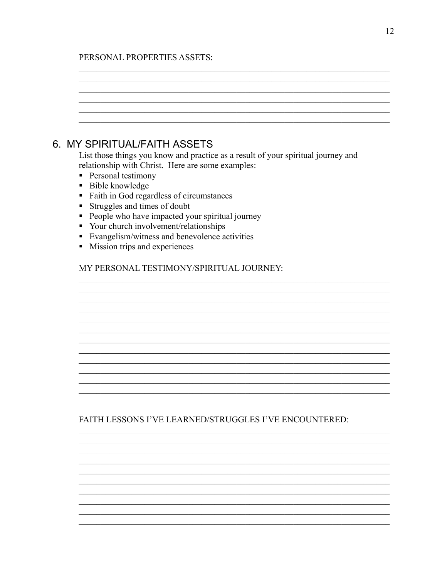# PERSONAL PROPERTIES ASSETS:

| 6. MY SPIRITUAL/FAITH ASSETS                                                                                                           |
|----------------------------------------------------------------------------------------------------------------------------------------|
| List those things you know and practice as a result of your spiritual journey and<br>relationship with Christ. Here are some examples: |
| Personal testimony<br>٠                                                                                                                |
| Bible knowledge<br>п                                                                                                                   |
| Faith in God regardless of circumstances<br>п                                                                                          |
| Struggles and times of doubt<br>п                                                                                                      |
| People who have impacted your spiritual journey                                                                                        |
| Your church involvement/relationships<br>п                                                                                             |
|                                                                                                                                        |
| Evangelism/witness and benevolence activities<br>п<br>٠                                                                                |
| Mission trips and experiences                                                                                                          |
| MY PERSONAL TESTIMONY/SPIRITUAL JOURNEY:                                                                                               |
|                                                                                                                                        |
|                                                                                                                                        |
|                                                                                                                                        |
|                                                                                                                                        |
|                                                                                                                                        |
|                                                                                                                                        |
|                                                                                                                                        |
|                                                                                                                                        |

<u> 1989 - Johann Stoff, deutscher Stoffen und der Stoffen und der Stoffen und der Stoffen und der Stoffen und der</u>

<u> 1989 - Jan James James Bernard Bernard Bernard Bernard Bernard Bernard Bernard Bernard Bernard Bernard Bernard</u>

<u> 1989 - Johann Barn, fransk politik (f. 1989)</u>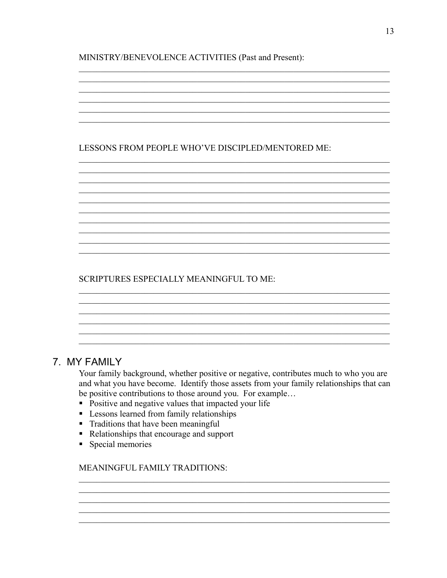#### MINISTRY/BENEVOLENCE ACTIVITIES (Past and Present):

# LESSONS FROM PEOPLE WHO'VE DISCIPLED/MENTORED ME:

# **SCRIPTURES ESPECIALLY MEANINGFUL TO ME:**

# 7. MY FAMILY

Your family background, whether positive or negative, contributes much to who you are and what you have become. Identify those assets from your family relationships that can be positive contributions to those around you. For example...

- Positive and negative values that impacted your life
- Lessons learned from family relationships
- Traditions that have been meaningful
- Relationships that encourage and support
- Special memories

**MEANINGFUL FAMILY TRADITIONS:**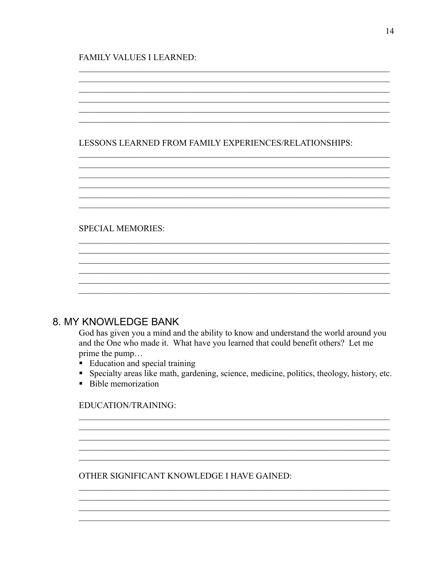#### **FAMILY VALUES I LEARNED:**

#### LESSONS LEARNED FROM FAMILY EXPERIENCES/RELATIONSHIPS:

#### **SPECIAL MEMORIES:**

# 8. MY KNOWLEDGE BANK

God has given you a mind and the ability to know and understand the world around you and the One who made it. What have you learned that could benefit others? Let me prime the pump...

<u> 1989 - Johann Stoff, amerikansk politik (d. 1989)</u>

- Education and special training
- Specialty areas like math, gardening, science, medicine, politics, theology, history, etc.

<u> 1989 - Johann Stoff, amerikansk politiker (d. 1989)</u>

• Bible memorization

#### EDUCATION/TRAINING:

OTHER SIGNIFICANT KNOWLEDGE I HAVE GAINED: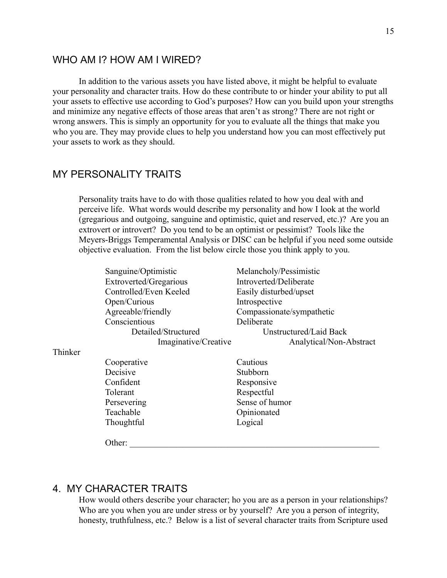## WHO AM I? HOW AM I WIRED?

In addition to the various assets you have listed above, it might be helpful to evaluate your personality and character traits. How do these contribute to or hinder your ability to put all your assets to effective use according to God's purposes? How can you build upon your strengths and minimize any negative effects of those areas that aren't as strong? There are not right or wrong answers. This is simply an opportunity for you to evaluate all the things that make you who you are. They may provide clues to help you understand how you can most effectively put your assets to work as they should.

# MY PERSONALITY TRAITS

Personality traits have to do with those qualities related to how you deal with and perceive life. What words would describe my personality and how I look at the world (gregarious and outgoing, sanguine and optimistic, quiet and reserved, etc.)? Are you an extrovert or introvert? Do you tend to be an optimist or pessimist? Tools like the Meyers-Briggs Temperamental Analysis or DISC can be helpful if you need some outside objective evaluation. From the list below circle those you think apply to you.

|         | Sanguine/Optimistic    | Melancholy/Pessimistic    |
|---------|------------------------|---------------------------|
|         | Extroverted/Gregarious | Introverted/Deliberate    |
|         | Controlled/Even Keeled | Easily disturbed/upset    |
|         | Open/Curious           | Introspective             |
|         | Agreeable/friendly     | Compassionate/sympathetic |
|         | Conscientious          | Deliberate                |
|         | Detailed/Structured    | Unstructured/Laid Back    |
|         | Imaginative/Creative   | Analytical/Non-Abstract   |
| Thinker |                        |                           |
|         | Cooperative            | Cautious                  |
|         | Decisive               | Stubborn                  |
|         | Confident              | Responsive                |
|         | Tolerant               | Respectful                |
|         | Persevering            | Sense of humor            |
|         | Teachable              | Opinionated               |
|         | Thoughtful             | Logical                   |
|         | Other:                 |                           |

# 4. MY CHARACTER TRAITS

How would others describe your character; ho you are as a person in your relationships? Who are you when you are under stress or by yourself? Are you a person of integrity, honesty, truthfulness, etc.? Below is a list of several character traits from Scripture used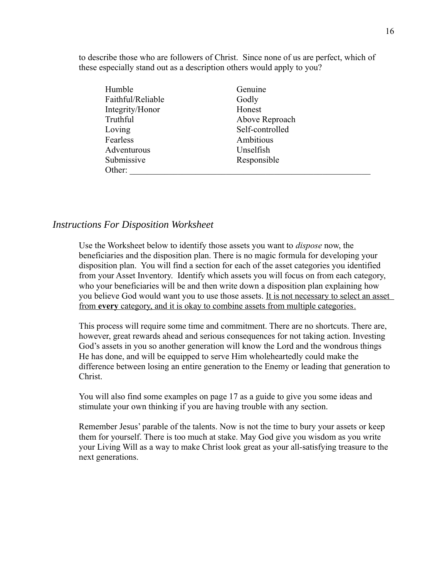to describe those who are followers of Christ. Since none of us are perfect, which of these especially stand out as a description others would apply to you?

| Humble            | Genuine         |
|-------------------|-----------------|
| Faithful/Reliable | Godly           |
| Integrity/Honor   | Honest          |
| Truthful          | Above Reproach  |
| Loving            | Self-controlled |
| Fearless          | Ambitious       |
| Adventurous       | Unselfish       |
| Submissive        | Responsible     |
| Other:            |                 |

#### *Instructions For Disposition Worksheet*

Use the Worksheet below to identify those assets you want to *dispose* now, the beneficiaries and the disposition plan. There is no magic formula for developing your disposition plan. You will find a section for each of the asset categories you identified from your Asset Inventory. Identify which assets you will focus on from each category, who your beneficiaries will be and then write down a disposition plan explaining how you believe God would want you to use those assets. It is not necessary to select an asset from **every** category, and it is okay to combine assets from multiple categories.

This process will require some time and commitment. There are no shortcuts. There are, however, great rewards ahead and serious consequences for not taking action. Investing God's assets in you so another generation will know the Lord and the wondrous things He has done, and will be equipped to serve Him wholeheartedly could make the difference between losing an entire generation to the Enemy or leading that generation to Christ.

You will also find some examples on page 17 as a guide to give you some ideas and stimulate your own thinking if you are having trouble with any section.

Remember Jesus' parable of the talents. Now is not the time to bury your assets or keep them for yourself. There is too much at stake. May God give you wisdom as you write your Living Will as a way to make Christ look great as your all-satisfying treasure to the next generations.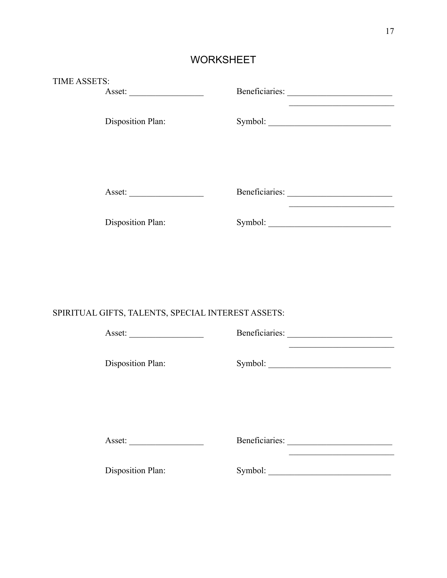# TIME ASSETS: Asset: \_\_\_\_\_\_\_\_\_\_\_\_\_\_\_\_\_ Beneficiaries: \_\_\_\_\_\_\_\_\_\_\_\_\_\_\_\_\_\_\_\_\_\_\_\_  $\overline{\phantom{a}}$  , which is a set of the set of the set of the set of the set of the set of the set of the set of the set of the set of the set of the set of the set of the set of the set of the set of the set of the set of th Disposition Plan: Symbol: \_\_\_\_\_\_\_\_\_\_\_\_\_\_\_\_\_\_\_\_\_\_\_\_\_\_\_\_ Asset: \_\_\_\_\_\_\_\_\_\_\_\_\_\_\_\_\_ Beneficiaries: \_\_\_\_\_\_\_\_\_\_\_\_\_\_\_\_\_\_\_\_\_\_\_\_  $\frac{1}{2}$  ,  $\frac{1}{2}$  ,  $\frac{1}{2}$  ,  $\frac{1}{2}$  ,  $\frac{1}{2}$  ,  $\frac{1}{2}$  ,  $\frac{1}{2}$  ,  $\frac{1}{2}$  ,  $\frac{1}{2}$  ,  $\frac{1}{2}$  ,  $\frac{1}{2}$  ,  $\frac{1}{2}$  ,  $\frac{1}{2}$  ,  $\frac{1}{2}$  ,  $\frac{1}{2}$  ,  $\frac{1}{2}$  ,  $\frac{1}{2}$  ,  $\frac{1}{2}$  ,  $\frac{1$ Disposition Plan: Symbol: \_\_\_\_\_\_\_\_\_\_\_\_\_\_\_\_\_\_\_\_\_\_\_\_\_\_\_\_

## SPIRITUAL GIFTS, TALENTS, SPECIAL INTEREST ASSETS:

|                   | Beneficiaries: |
|-------------------|----------------|
| Disposition Plan: |                |
|                   |                |
|                   | Beneficiaries: |
| Disposition Plan: |                |

# WORKSHEET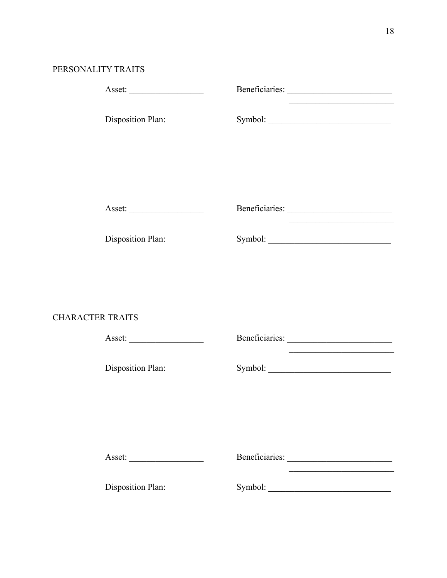# PERSONALITY TRAITS

| Asset:                  |  | Beneficiaries: |
|-------------------------|--|----------------|
| Disposition Plan:       |  |                |
|                         |  |                |
|                         |  |                |
|                         |  | Beneficiaries: |
|                         |  |                |
| Disposition Plan:       |  |                |
|                         |  |                |
|                         |  |                |
| <b>CHARACTER TRAITS</b> |  |                |
|                         |  | Beneficiaries: |
| Disposition Plan:       |  |                |
|                         |  |                |
|                         |  |                |
|                         |  |                |
|                         |  | Beneficiaries: |

Disposition Plan: Symbol: \_\_\_\_\_\_\_\_\_\_\_\_\_\_\_\_\_\_\_\_\_\_\_\_\_\_\_\_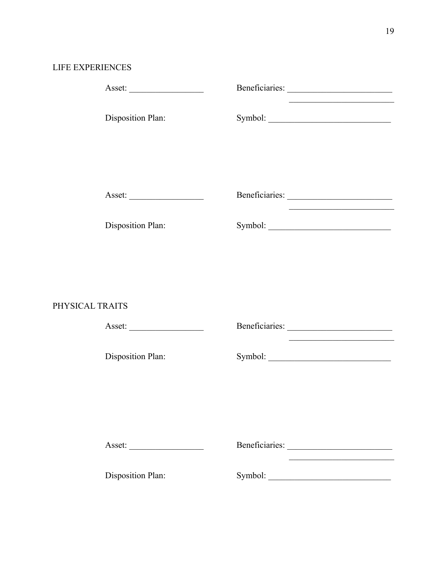# LIFE EXPERIENCES

| Asset:            | Beneficiaries: |
|-------------------|----------------|
| Disposition Plan: |                |
|                   |                |
|                   |                |
|                   | Beneficiaries: |
| Disposition Plan: |                |
|                   |                |
|                   |                |
| PHYSICAL TRAITS   |                |
|                   | Beneficiaries: |
| Disposition Plan: |                |
|                   |                |
|                   |                |
|                   |                |

| Asset:            | Beneficiaries: |
|-------------------|----------------|
| Disposition Plan: | Symbol:        |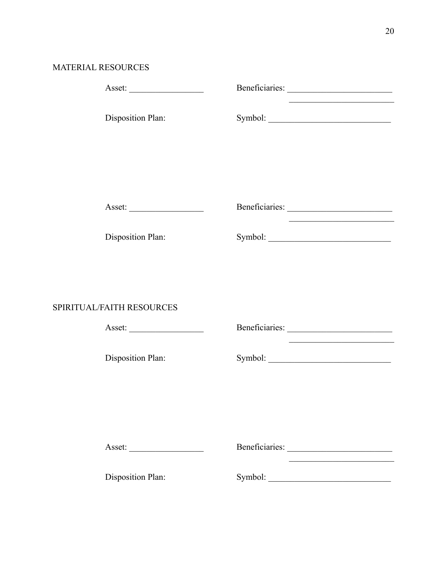# MATERIAL RESOURCES

|                           | Beneficiaries:                                                              |
|---------------------------|-----------------------------------------------------------------------------|
| Disposition Plan:         | the control of the control of the control of the control of the control of  |
| Asset:                    | Beneficiaries:<br><u> 1980 - Johann Barbara, martin amerikan personal (</u> |
| Disposition Plan:         |                                                                             |
| SPIRITUAL/FAITH RESOURCES |                                                                             |
| Disposition Plan:         |                                                                             |
|                           |                                                                             |
|                           | Beneficiaries:                                                              |
| <b>Disposition Plan:</b>  |                                                                             |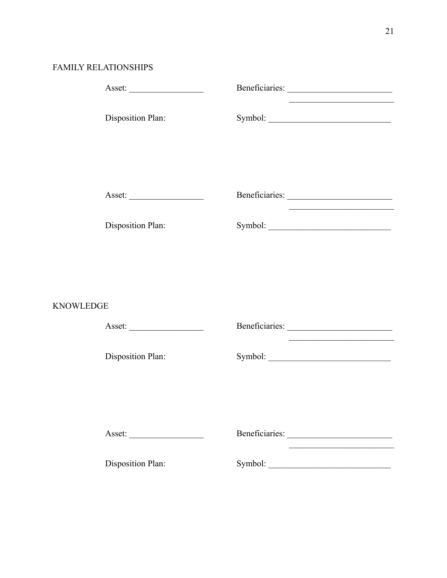# FAMILY RELATIONSHIPS

|                  |                   | Beneficiaries:<br><u> 1990 - Johann Barbara, martin amerikan personal (</u> |
|------------------|-------------------|-----------------------------------------------------------------------------|
|                  | Disposition Plan: |                                                                             |
|                  |                   |                                                                             |
|                  |                   |                                                                             |
|                  | Asset:            | Beneficiaries:                                                              |
|                  | Disposition Plan: |                                                                             |
|                  |                   |                                                                             |
|                  |                   |                                                                             |
| <b>KNOWLEDGE</b> |                   |                                                                             |
|                  | Asset:            | Beneficiaries:                                                              |
|                  | Disposition Plan: |                                                                             |
|                  |                   |                                                                             |
|                  |                   |                                                                             |
|                  | Asset:            | Beneficiaries:                                                              |

Disposition Plan: Symbol: \_\_\_\_\_\_\_\_\_\_\_\_\_\_\_\_\_\_\_\_\_\_\_\_\_\_\_\_

\_\_\_\_\_\_\_\_\_\_\_\_\_\_\_\_\_\_\_\_\_\_\_\_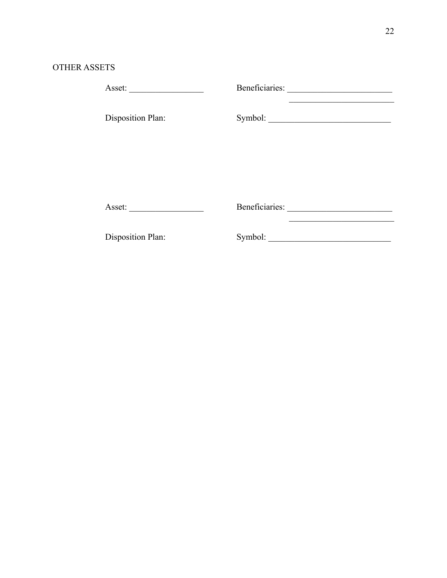# OTHER ASSETS

|                          | Beneficiaries:<br><u> 1989 - Johann John Stoff, deutscher Stoffen und der Stoffen und der Stoffen und der Stoffen und der Stoffen un</u> |
|--------------------------|------------------------------------------------------------------------------------------------------------------------------------------|
| <b>Disposition Plan:</b> |                                                                                                                                          |
|                          |                                                                                                                                          |
|                          |                                                                                                                                          |
|                          | Beneficiaries:                                                                                                                           |
| <b>Disposition Plan:</b> |                                                                                                                                          |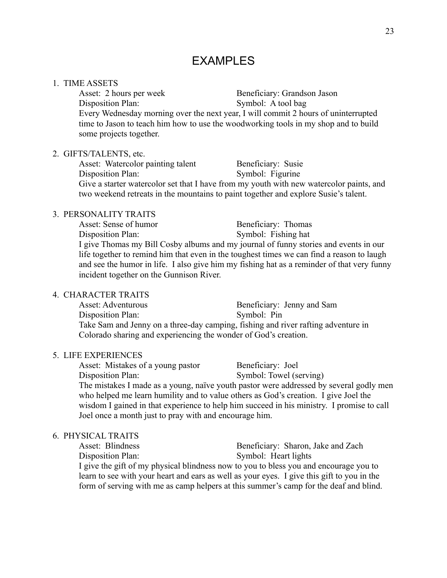# EXAMPLES

#### 1. TIME ASSETS

Asset: 2 hours per week Beneficiary: Grandson Jason Disposition Plan: Symbol: A tool bag Every Wednesday morning over the next year, I will commit 2 hours of uninterrupted time to Jason to teach him how to use the woodworking tools in my shop and to build some projects together.

#### 2. GIFTS/TALENTS, etc.

Asset: Watercolor painting talent Beneficiary: Susie Disposition Plan: Symbol: Figurine Give a starter watercolor set that I have from my youth with new watercolor paints, and two weekend retreats in the mountains to paint together and explore Susie's talent.

#### 3. PERSONALITY TRAITS

Asset: Sense of humor Beneficiary: Thomas Disposition Plan: Symbol: Fishing hat I give Thomas my Bill Cosby albums and my journal of funny stories and events in our life together to remind him that even in the toughest times we can find a reason to laugh and see the humor in life. I also give him my fishing hat as a reminder of that very funny incident together on the Gunnison River.

#### 4. CHARACTER TRAITS

Asset: Adventurous Beneficiary: Jenny and Sam Disposition Plan: Symbol: Pin Take Sam and Jenny on a three-day camping, fishing and river rafting adventure in Colorado sharing and experiencing the wonder of God's creation.

#### 5. LIFE EXPERIENCES

Asset: Mistakes of a young pastor Beneficiary: Joel Disposition Plan: Symbol: Towel (serving) The mistakes I made as a young, naïve youth pastor were addressed by several godly men

who helped me learn humility and to value others as God's creation. I give Joel the wisdom I gained in that experience to help him succeed in his ministry. I promise to call Joel once a month just to pray with and encourage him.

## 6. PHYSICAL TRAITS

| Asset: Blindness                                                                           | Beneficiary: Sharon, Jake and Zach |
|--------------------------------------------------------------------------------------------|------------------------------------|
| Disposition Plan:                                                                          | Symbol: Heart lights               |
| I give the gift of my physical blindness now to you to bless you and encourage you to      |                                    |
| learn to see with your heart and ears as well as your eyes. I give this gift to you in the |                                    |
| form of serving with me as camp helpers at this summer's camp for the deaf and blind.      |                                    |